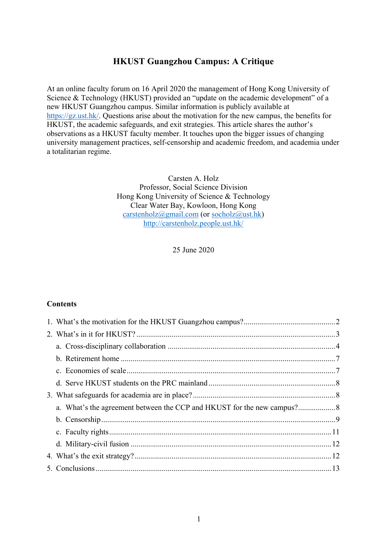### **HKUST Guangzhou Campus: A Critique**

At an online faculty forum on 16 April 2020 the management of Hong Kong University of Science & Technology (HKUST) provided an "update on the academic development" of a new HKUST Guangzhou campus. Similar information is publicly available at https://gz.ust.hk/. Questions arise about the motivation for the new campus, the benefits for HKUST, the academic safeguards, and exit strategies. This article shares the author's observations as a HKUST faculty member. It touches upon the bigger issues of changing university management practices, self-censorship and academic freedom, and academia under a totalitarian regime.

> Carsten A. Holz Professor, Social Science Division Hong Kong University of Science & Technology Clear Water Bay, Kowloon, Hong Kong carstenholz@gmail.com (or socholz@ust.hk) http://carstenholz.people.ust.hk/

> > 25 June 2020

#### **Contents**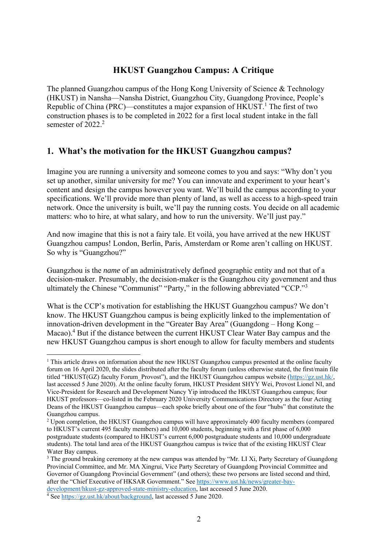# **HKUST Guangzhou Campus: A Critique**

The planned Guangzhou campus of the Hong Kong University of Science & Technology (HKUST) in Nansha—Nansha District, Guangzhou City, Guangdong Province, People's Republic of China (PRC)—constitutes a major expansion of  $HKUST$ <sup>1</sup>. The first of two construction phases is to be completed in 2022 for a first local student intake in the fall semester of  $2022.2$ 

# **1. What's the motivation for the HKUST Guangzhou campus?**

Imagine you are running a university and someone comes to you and says: "Why don't you set up another, similar university for me? You can innovate and experiment to your heart's content and design the campus however you want. We'll build the campus according to your specifications. We'll provide more than plenty of land, as well as access to a high-speed train network. Once the university is built, we'll pay the running costs. You decide on all academic matters: who to hire, at what salary, and how to run the university. We'll just pay."

And now imagine that this is not a fairy tale. Et voilà, you have arrived at the new HKUST Guangzhou campus! London, Berlin, Paris, Amsterdam or Rome aren't calling on HKUST. So why is "Guangzhou?"

Guangzhou is the *name* of an administratively defined geographic entity and not that of a decision-maker. Presumably, the decision-maker is the Guangzhou city government and thus ultimately the Chinese "Communist" "Party," in the following abbreviated "CCP."<sup>3</sup>

What is the CCP's motivation for establishing the HKUST Guangzhou campus? We don't know. The HKUST Guangzhou campus is being explicitly linked to the implementation of innovation-driven development in the "Greater Bay Area" (Guangdong – Hong Kong – Macao).<sup>4</sup> But if the distance between the current HKUST Clear Water Bay campus and the new HKUST Guangzhou campus is short enough to allow for faculty members and students

See https://gz.ust.hk/about/background, last accessed 5 June 2020.

1

<sup>&</sup>lt;sup>1</sup> This article draws on information about the new HKUST Guangzhou campus presented at the online faculty forum on 16 April 2020, the slides distributed after the faculty forum (unless otherwise stated, the first/main file titled "HKUST(GZ) faculty Forum\_Provost"), and the HKUST Guangzhou campus website (https://gz.ust.hk/, last accessed 5 June 2020). At the online faculty forum, HKUST President SHYY Wei, Provost Lionel NI, and Vice-President for Research and Development Nancy Yip introduced the HKUST Guangzhou campus; four HKUST professors—co-listed in the February 2020 University Communications Directory as the four Acting Deans of the HKUST Guangzhou campus—each spoke briefly about one of the four "hubs" that constitute the Guangzhou campus.

<sup>&</sup>lt;sup>2</sup> Upon completion, the HKUST Guangzhou campus will have approximately 400 faculty members (compared to HKUST's current 495 faculty members) and 10,000 students, beginning with a first phase of 6,000 postgraduate students (compared to HKUST's current 6,000 postgraduate students and 10,000 undergraduate students). The total land area of the HKUST Guangzhou campus is twice that of the existing HKUST Clear Water Bay campus.

<sup>&</sup>lt;sup>3</sup> The ground breaking ceremony at the new campus was attended by "Mr. LI Xi, Party Secretary of Guangdong Provincial Committee, and Mr. MA Xingrui, Vice Party Secretary of Guangdong Provincial Committee and Governor of Guangdong Provincial Government" (and others); these two persons are listed second and third, after the "Chief Executive of HKSAR Government." See https://www.ust.hk/news/greater-baydevelopment/hkust-gz-approved-state-ministry-education, last accessed 5 June 2020. 4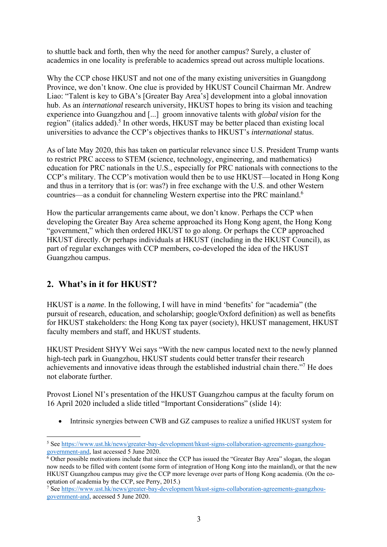to shuttle back and forth, then why the need for another campus? Surely, a cluster of academics in one locality is preferable to academics spread out across multiple locations.

Why the CCP chose HKUST and not one of the many existing universities in Guangdong Province, we don't know. One clue is provided by HKUST Council Chairman Mr. Andrew Liao: "Talent is key to GBA's [Greater Bay Area's] development into a global innovation hub. As an *international* research university, HKUST hopes to bring its vision and teaching experience into Guangzhou and [...] groom innovative talents with *global vision* for the region" (italics added).<sup>5</sup> In other words, HKUST may be better placed than existing local universities to advance the CCP's objectives thanks to HKUST's *international* status.

As of late May 2020, this has taken on particular relevance since U.S. President Trump wants to restrict PRC access to STEM (science, technology, engineering, and mathematics) education for PRC nationals in the U.S., especially for PRC nationals with connections to the CCP's military. The CCP's motivation would then be to use HKUST—located in Hong Kong and thus in a territory that is (or: was?) in free exchange with the U.S. and other Western countries—as a conduit for channeling Western expertise into the PRC mainland.6

How the particular arrangements came about, we don't know. Perhaps the CCP when developing the Greater Bay Area scheme approached its Hong Kong agent, the Hong Kong "government," which then ordered HKUST to go along. Or perhaps the CCP approached HKUST directly. Or perhaps individuals at HKUST (including in the HKUST Council), as part of regular exchanges with CCP members, co-developed the idea of the HKUST Guangzhou campus.

# **2. What's in it for HKUST?**

HKUST is a *name*. In the following, I will have in mind 'benefits' for "academia" (the pursuit of research, education, and scholarship; google/Oxford definition) as well as benefits for HKUST stakeholders: the Hong Kong tax payer (society), HKUST management, HKUST faculty members and staff, and HKUST students.

HKUST President SHYY Wei says "With the new campus located next to the newly planned high-tech park in Guangzhou, HKUST students could better transfer their research achievements and innovative ideas through the established industrial chain there."<sup>7</sup> He does not elaborate further.

Provost Lionel NI's presentation of the HKUST Guangzhou campus at the faculty forum on 16 April 2020 included a slide titled "Important Considerations" (slide 14):

Intrinsic synergies between CWB and GZ campuses to realize a unified HKUST system for

<sup>1</sup> <sup>5</sup> See https://www.ust.hk/news/greater-bay-development/hkust-signs-collaboration-agreements-guangzhougovernment-and, last accessed 5 June 2020.

<sup>&</sup>lt;sup>6</sup> Other possible motivations include that since the CCP has issued the "Greater Bay Area" slogan, the slogan now needs to be filled with content (some form of integration of Hong Kong into the mainland), or that the new HKUST Guangzhou campus may give the CCP more leverage over parts of Hong Kong academia. (On the cooptation of academia by the CCP, see Perry, 2015.)

<sup>7</sup> See https://www.ust.hk/news/greater-bay-development/hkust-signs-collaboration-agreements-guangzhougovernment-and, accessed 5 June 2020.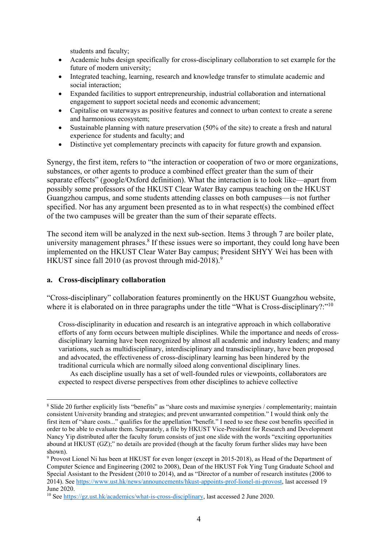students and faculty;

- Academic hubs design specifically for cross-disciplinary collaboration to set example for the future of modern university;
- Integrated teaching, learning, research and knowledge transfer to stimulate academic and social interaction;
- Expanded facilities to support entrepreneurship, industrial collaboration and international engagement to support societal needs and economic advancement;
- Capitalise on waterways as positive features and connect to urban context to create a serene and harmonious ecosystem;
- Sustainable planning with nature preservation (50% of the site) to create a fresh and natural experience for students and faculty; and
- Distinctive yet complementary precincts with capacity for future growth and expansion.

Synergy, the first item, refers to "the interaction or cooperation of two or more organizations, substances, or other agents to produce a combined effect greater than the sum of their separate effects" (google/Oxford definition). What the interaction is to look like—apart from possibly some professors of the HKUST Clear Water Bay campus teaching on the HKUST Guangzhou campus, and some students attending classes on both campuses—is not further specified. Nor has any argument been presented as to in what respect(s) the combined effect of the two campuses will be greater than the sum of their separate effects.

The second item will be analyzed in the next sub-section. Items 3 through 7 are boiler plate, university management phrases.<sup>8</sup> If these issues were so important, they could long have been implemented on the HKUST Clear Water Bay campus; President SHYY Wei has been with HKUST since fall 2010 (as provost through mid-2018).<sup>9</sup>

#### **a. Cross-disciplinary collaboration**

1

"Cross-disciplinary" collaboration features prominently on the HKUST Guangzhou website, where it is elaborated on in three paragraphs under the title "What is Cross-disciplinary?:"<sup>10</sup>

Cross-disciplinarity in education and research is an integrative approach in which collaborative efforts of any form occurs between multiple disciplines. While the importance and needs of crossdisciplinary learning have been recognized by almost all academic and industry leaders; and many variations, such as multidisciplinary, interdisciplinary and transdisciplinary, have been proposed and advocated, the effectiveness of cross-disciplinary learning has been hindered by the traditional curricula which are normally siloed along conventional disciplinary lines.

As each discipline usually has a set of well-founded rules or viewpoints, collaborators are expected to respect diverse perspectives from other disciplines to achieve collective

<sup>8</sup> Slide 20 further explicitly lists "benefits" as "share costs and maximise synergies / complementarity; maintain consistent University branding and strategies; and prevent unwarranted competition." I would think only the first item of "share costs..." qualifies for the appellation "benefit." I need to see these cost benefits specified in order to be able to evaluate them. Separately, a file by HKUST Vice-President for Research and Development Nancy Yip distributed after the faculty forum consists of just one slide with the words "exciting opportunities abound at HKUST (GZ);" no details are provided (though at the faculty forum further slides may have been shown).

<sup>&</sup>lt;sup>9</sup> Provost Lionel Ni has been at HKUST for even longer (except in 2015-2018), as Head of the Department of Computer Science and Engineering (2002 to 2008), Dean of the HKUST Fok Ying Tung Graduate School and Special Assistant to the President (2010 to 2014), and as "Director of a number of research institutes (2006 to 2014). See https://www.ust.hk/news/announcements/hkust-appoints-prof-lionel-ni-provost, last accessed 19 June 2020.

<sup>10</sup> See https://gz.ust.hk/academics/what-is-cross-disciplinary, last accessed 2 June 2020.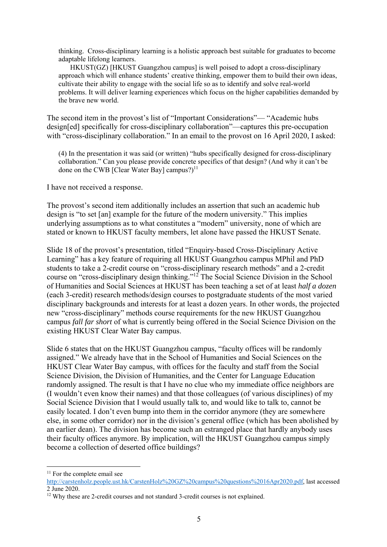thinking. Cross-disciplinary learning is a holistic approach best suitable for graduates to become adaptable lifelong learners.

HKUST(GZ) [HKUST Guangzhou campus] is well poised to adopt a cross-disciplinary approach which will enhance students' creative thinking, empower them to build their own ideas, cultivate their ability to engage with the social life so as to identify and solve real-world problems. It will deliver learning experiences which focus on the higher capabilities demanded by the brave new world.

The second item in the provost's list of "Important Considerations"— "Academic hubs design[ed] specifically for cross-disciplinary collaboration"—captures this pre-occupation with "cross-disciplinary collaboration." In an email to the provost on 16 April 2020, I asked:

(4) In the presentation it was said (or written) "hubs specifically designed for cross-disciplinary collaboration." Can you please provide concrete specifics of that design? (And why it can't be done on the CWB [Clear Water Bay] campus?) $^{11}$ 

I have not received a response.

The provost's second item additionally includes an assertion that such an academic hub design is "to set [an] example for the future of the modern university." This implies underlying assumptions as to what constitutes a "modern" university, none of which are stated or known to HKUST faculty members, let alone have passed the HKUST Senate.

Slide 18 of the provost's presentation, titled "Enquiry-based Cross-Disciplinary Active Learning" has a key feature of requiring all HKUST Guangzhou campus MPhil and PhD students to take a 2-credit course on "cross-disciplinary research methods" and a 2-credit course on "cross-disciplinary design thinking."12 The Social Science Division in the School of Humanities and Social Sciences at HKUST has been teaching a set of at least *half a dozen* (each 3-credit) research methods/design courses to postgraduate students of the most varied disciplinary backgrounds and interests for at least a dozen years. In other words, the projected new "cross-disciplinary" methods course requirements for the new HKUST Guangzhou campus *fall far short* of what is currently being offered in the Social Science Division on the existing HKUST Clear Water Bay campus.

Slide 6 states that on the HKUST Guangzhou campus, "faculty offices will be randomly assigned." We already have that in the School of Humanities and Social Sciences on the HKUST Clear Water Bay campus, with offices for the faculty and staff from the Social Science Division, the Division of Humanities, and the Center for Language Education randomly assigned. The result is that I have no clue who my immediate office neighbors are (I wouldn't even know their names) and that those colleagues (of various disciplines) of my Social Science Division that I would usually talk to, and would like to talk to, cannot be easily located. I don't even bump into them in the corridor anymore (they are somewhere else, in some other corridor) nor in the division's general office (which has been abolished by an earlier dean). The division has become such an estranged place that hardly anybody uses their faculty offices anymore. By implication, will the HKUST Guangzhou campus simply become a collection of deserted office buildings?

1

<sup>&</sup>lt;sup>11</sup> For the complete email see

http://carstenholz.people.ust.hk/CarstenHolz%20GZ%20campus%20questions%2016Apr2020.pdf, last accessed 2 June 2020.

<sup>&</sup>lt;sup>12</sup> Why these are 2-credit courses and not standard 3-credit courses is not explained.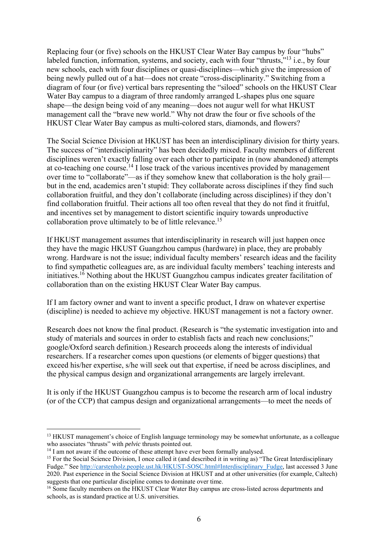Replacing four (or five) schools on the HKUST Clear Water Bay campus by four "hubs" labeled function, information, systems, and society, each with four "thrusts,"<sup>13</sup> i.e., by four new schools, each with four disciplines or quasi-disciplines—which give the impression of being newly pulled out of a hat—does not create "cross-disciplinarity." Switching from a diagram of four (or five) vertical bars representing the "siloed" schools on the HKUST Clear Water Bay campus to a diagram of three randomly arranged L-shapes plus one square shape—the design being void of any meaning—does not augur well for what HKUST management call the "brave new world." Why not draw the four or five schools of the HKUST Clear Water Bay campus as multi-colored stars, diamonds, and flowers?

The Social Science Division at HKUST has been an interdisciplinary division for thirty years. The success of "interdisciplinarity" has been decidedly mixed. Faculty members of different disciplines weren't exactly falling over each other to participate in (now abandoned) attempts at co-teaching one course.14 I lose track of the various incentives provided by management over time to "collaborate"—as if they somehow knew that collaboration is the holy grail but in the end, academics aren't stupid: They collaborate across disciplines if they find such collaboration fruitful, and they don't collaborate (including across disciplines) if they don't find collaboration fruitful. Their actions all too often reveal that they do not find it fruitful, and incentives set by management to distort scientific inquiry towards unproductive collaboration prove ultimately to be of little relevance.15

If HKUST management assumes that interdisciplinarity in research will just happen once they have the magic HKUST Guangzhou campus (hardware) in place, they are probably wrong. Hardware is not the issue; individual faculty members' research ideas and the facility to find sympathetic colleagues are, as are individual faculty members' teaching interests and initiatives.<sup>16</sup> Nothing about the HKUST Guangzhou campus indicates greater facilitation of collaboration than on the existing HKUST Clear Water Bay campus.

If I am factory owner and want to invent a specific product, I draw on whatever expertise (discipline) is needed to achieve my objective. HKUST management is not a factory owner.

Research does not know the final product. (Research is "the systematic investigation into and study of materials and sources in order to establish facts and reach new conclusions;" google/Oxford search definition.) Research proceeds along the interests of individual researchers. If a researcher comes upon questions (or elements of bigger questions) that exceed his/her expertise, s/he will seek out that expertise, if need be across disciplines, and the physical campus design and organizational arrangements are largely irrelevant.

It is only if the HKUST Guangzhou campus is to become the research arm of local industry (or of the CCP) that campus design and organizational arrangements—to meet the needs of

<u>.</u>

<sup>&</sup>lt;sup>13</sup> HKUST management's choice of English language terminology may be somewhat unfortunate, as a colleague who associates "thrusts" with *pelvic* thrusts pointed out.

<sup>&</sup>lt;sup>14</sup> I am not aware if the outcome of these attempt have ever been formally analysed.

<sup>&</sup>lt;sup>15</sup> For the Social Science Division, I once called it (and described it in writing as) "The Great Interdisciplinary Fudge." See http://carstenholz.people.ust.hk/HKUST-SOSC.html#Interdisciplinary\_Fudge, last accessed 3 June 2020. Past experience in the Social Science Division at HKUST and at other universities (for example, Caltech) suggests that one particular discipline comes to dominate over time.

<sup>&</sup>lt;sup>16</sup> Some faculty members on the HKUST Clear Water Bay campus are cross-listed across departments and schools, as is standard practice at U.S. universities.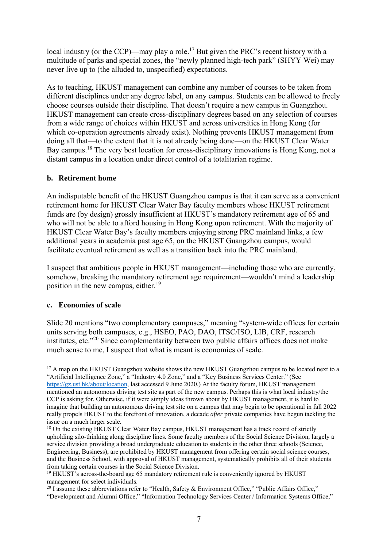local industry (or the CCP)—may play a role.<sup>17</sup> But given the PRC's recent history with a multitude of parks and special zones, the "newly planned high-tech park" (SHYY Wei) may never live up to (the alluded to, unspecified) expectations.

As to teaching, HKUST management can combine any number of courses to be taken from different disciplines under any degree label, on any campus. Students can be allowed to freely choose courses outside their discipline. That doesn't require a new campus in Guangzhou. HKUST management can create cross-disciplinary degrees based on any selection of courses from a wide range of choices within HKUST and across universities in Hong Kong (for which co-operation agreements already exist). Nothing prevents HKUST management from doing all that—to the extent that it is not already being done—on the HKUST Clear Water Bay campus.<sup>18</sup> The very best location for cross-disciplinary innovations is Hong Kong, not a distant campus in a location under direct control of a totalitarian regime.

### **b. Retirement home**

An indisputable benefit of the HKUST Guangzhou campus is that it can serve as a convenient retirement home for HKUST Clear Water Bay faculty members whose HKUST retirement funds are (by design) grossly insufficient at HKUST's mandatory retirement age of 65 and who will not be able to afford housing in Hong Kong upon retirement. With the majority of HKUST Clear Water Bay's faculty members enjoying strong PRC mainland links, a few additional years in academia past age 65, on the HKUST Guangzhou campus, would facilitate eventual retirement as well as a transition back into the PRC mainland.

I suspect that ambitious people in HKUST management—including those who are currently, somehow, breaking the mandatory retirement age requirement—wouldn't mind a leadership position in the new campus, either.<sup>19</sup>

### **c. Economies of scale**

<u>.</u>

Slide 20 mentions "two complementary campuses," meaning "system-wide offices for certain units serving both campuses, e.g., HSEO, PAO, DAO, ITSC/ISO, LIB, CRF, research institutes, etc."20 Since complementarity between two public affairs offices does not make much sense to me, I suspect that what is meant is economies of scale.

<sup>&</sup>lt;sup>17</sup> A map on the HKUST Guangzhou website shows the new HKUST Guangzhou campus to be located next to a "Artificial Intelligence Zone," a "Industry 4.0 Zone," and a "Key Business Services Center." (See https://gz.ust.hk/about/location, last accessed 9 June 2020.) At the faculty forum, HKUST management mentioned an autonomous driving test site as part of the new campus. Perhaps this is what local industry/the CCP is asking for. Otherwise, if it were simply ideas thrown about by HKUST management, it is hard to imagine that building an autonomous driving test site on a campus that may begin to be operational in fall 2022 really propels HKUST to the forefront of innovation, a decade *after* private companies have begun tackling the issue on a much larger scale.

<sup>&</sup>lt;sup>18</sup> On the existing HKUST Clear Water Bay campus, HKUST management has a track record of strictly upholding silo-thinking along discipline lines. Some faculty members of the Social Science Division, largely a service division providing a broad undergraduate education to students in the other three schools (Science, Engineering, Business), are prohibited by HKUST management from offering certain social science courses, and the Business School, with approval of HKUST management, systematically prohibits all of their students from taking certain courses in the Social Science Division.

<sup>&</sup>lt;sup>19</sup> HKUST's across-the-board age 65 mandatory retirement rule is conveniently ignored by HKUST management for select individuals.

<sup>&</sup>lt;sup>20</sup> I assume these abbreviations refer to "Health, Safety & Environment Office," "Public Affairs Office," "Development and Alumni Office," "Information Technology Services Center / Information Systems Office,"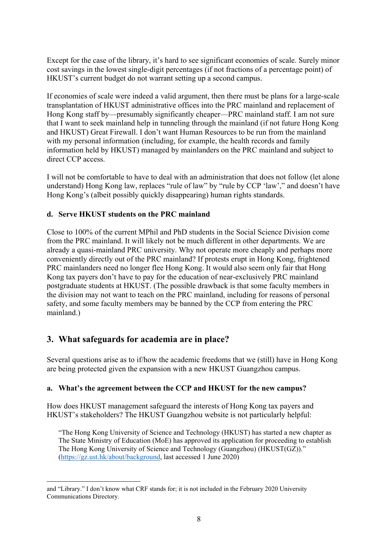Except for the case of the library, it's hard to see significant economies of scale. Surely minor cost savings in the lowest single-digit percentages (if not fractions of a percentage point) of HKUST's current budget do not warrant setting up a second campus.

If economies of scale were indeed a valid argument, then there must be plans for a large-scale transplantation of HKUST administrative offices into the PRC mainland and replacement of Hong Kong staff by—presumably significantly cheaper—PRC mainland staff. I am not sure that I want to seek mainland help in tunneling through the mainland (if not future Hong Kong and HKUST) Great Firewall. I don't want Human Resources to be run from the mainland with my personal information (including, for example, the health records and family information held by HKUST) managed by mainlanders on the PRC mainland and subject to direct CCP access.

I will not be comfortable to have to deal with an administration that does not follow (let alone understand) Hong Kong law, replaces "rule of law" by "rule by CCP 'law'," and doesn't have Hong Kong's (albeit possibly quickly disappearing) human rights standards.

### **d. Serve HKUST students on the PRC mainland**

Close to 100% of the current MPhil and PhD students in the Social Science Division come from the PRC mainland. It will likely not be much different in other departments. We are already a quasi-mainland PRC university. Why not operate more cheaply and perhaps more conveniently directly out of the PRC mainland? If protests erupt in Hong Kong, frightened PRC mainlanders need no longer flee Hong Kong. It would also seem only fair that Hong Kong tax payers don't have to pay for the education of near-exclusively PRC mainland postgraduate students at HKUST. (The possible drawback is that some faculty members in the division may not want to teach on the PRC mainland, including for reasons of personal safety, and some faculty members may be banned by the CCP from entering the PRC mainland.)

### **3. What safeguards for academia are in place?**

Several questions arise as to if/how the academic freedoms that we (still) have in Hong Kong are being protected given the expansion with a new HKUST Guangzhou campus.

### **a. What's the agreement between the CCP and HKUST for the new campus?**

How does HKUST management safeguard the interests of Hong Kong tax payers and HKUST's stakeholders? The HKUST Guangzhou website is not particularly helpful:

"The Hong Kong University of Science and Technology (HKUST) has started a new chapter as The State Ministry of Education (MoE) has approved its application for proceeding to establish The Hong Kong University of Science and Technology (Guangzhou) (HKUST(GZ))." (https://gz.ust.hk/about/background, last accessed 1 June 2020)

<sup>1</sup> and "Library." I don't know what CRF stands for; it is not included in the February 2020 University Communications Directory.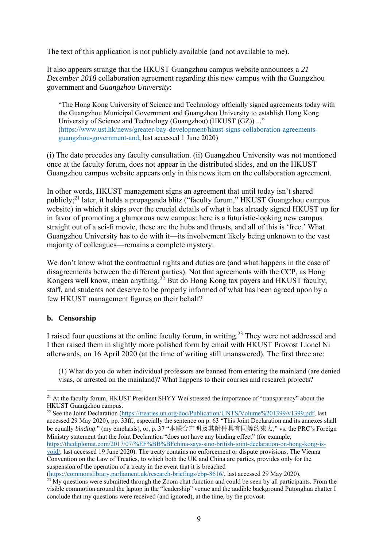The text of this application is not publicly available (and not available to me).

It also appears strange that the HKUST Guangzhou campus website announces a *21 December 2018* collaboration agreement regarding this new campus with the Guangzhou government and *Guangzhou University*:

"The Hong Kong University of Science and Technology officially signed agreements today with the Guangzhou Municipal Government and Guangzhou University to establish Hong Kong University of Science and Technology (Guangzhou) (HKUST (GZ)) ..." (https://www.ust.hk/news/greater-bay-development/hkust-signs-collaboration-agreementsguangzhou-government-and, last accessed 1 June 2020)

(i) The date precedes any faculty consultation. (ii) Guangzhou University was not mentioned once at the faculty forum, does not appear in the distributed slides, and on the HKUST Guangzhou campus website appears only in this news item on the collaboration agreement.

In other words, HKUST management signs an agreement that until today isn't shared publicly;21 later, it holds a propaganda blitz ("faculty forum," HKUST Guangzhou campus website) in which it skips over the crucial details of what it has already signed HKUST up for in favor of promoting a glamorous new campus: here is a futuristic-looking new campus straight out of a sci-fi movie, these are the hubs and thrusts, and all of this is 'free.' What Guangzhou University has to do with it—its involvement likely being unknown to the vast majority of colleagues—remains a complete mystery.

We don't know what the contractual rights and duties are (and what happens in the case of disagreements between the different parties). Not that agreements with the CCP, as Hong Kongers well know, mean anything.<sup>22</sup> But do Hong Kong tax payers and HKUST faculty, staff, and students not deserve to be properly informed of what has been agreed upon by a few HKUST management figures on their behalf?

### **b. Censorship**

I raised four questions at the online faculty forum, in writing.<sup>23</sup> They were not addressed and I then raised them in slightly more polished form by email with HKUST Provost Lionel Ni afterwards, on 16 April 2020 (at the time of writing still unanswered). The first three are:

(1) What do you do when individual professors are banned from entering the mainland (are denied visas, or arrested on the mainland)? What happens to their courses and research projects?

<sup>22</sup> See the Joint Declaration (https://treaties.un.org/doc/Publication/UNTS/Volume%201399/v1399.pdf, last accessed 29 May 2020), pp. 33ff., especially the sentence on p. 63 "This Joint Declaration and its annexes shall be equally *binding*." (my emphasis), or, p. 37 "本联合声明及其附件具有同等约束力," vs. the PRC's Foreign Ministry statement that the Joint Declaration "does not have any binding effect" (for example, https://thediplomat.com/2017/07/%EF%BB%BFchina-says-sino-british-joint-declaration-on-hong-kong-isvoid/, last accessed 19 June 2020). The treaty contains no enforcement or dispute provisions. The Vienna Convention on the Law of Treaties, to which both the UK and China are parties, provides only for the suspension of the operation of a treaty in the event that it is breached

(https://commonslibrary.parliament.uk/research-briefings/cbp-8616/, last accessed 29 May 2020).

<sup>1</sup> <sup>21</sup> At the faculty forum, HKUST President SHYY Wei stressed the importance of "transparency" about the HKUST Guangzhou campus.

 $23$  My questions were submitted through the Zoom chat function and could be seen by all participants. From the visible commotion around the laptop in the "leadership" venue and the audible background Putonghua chatter I conclude that my questions were received (and ignored), at the time, by the provost.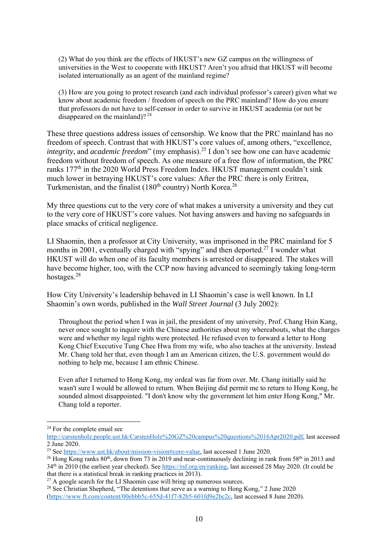(2) What do you think are the effects of HKUST's new GZ campus on the willingness of universities in the West to cooperate with HKUST? Aren't you afraid that HKUST will become isolated internationally as an agent of the mainland regime?

(3) How are you going to protect research (and each individual professor's career) given what we know about academic freedom / freedom of speech on the PRC mainland? How do you ensure that professors do not have to self-censor in order to survive in HKUST academia (or not be disappeared on the mainland)? 24

These three questions address issues of censorship. We know that the PRC mainland has no freedom of speech. Contrast that with HKUST's core values of, among others, "excellence, *integrity*, and *academic freedom*" (my emphasis).25 I don't see how one can have academic freedom without freedom of speech. As one measure of a free flow of information, the PRC ranks 177<sup>th</sup> in the 2020 World Press Freedom Index. HKUST management couldn't sink much lower in betraying HKUST's core values: After the PRC there is only Eritrea, Turkmenistan, and the finalist  $(180<sup>th</sup>$  country) North Korea.<sup>26</sup>

My three questions cut to the very core of what makes a university a university and they cut to the very core of HKUST's core values. Not having answers and having no safeguards in place smacks of critical negligence.

LI Shaomin, then a professor at City University, was imprisoned in the PRC mainland for 5 months in 2001, eventually charged with "spying" and then deported.<sup>27</sup> I wonder what HKUST will do when one of its faculty members is arrested or disappeared. The stakes will have become higher, too, with the CCP now having advanced to seemingly taking long-term hostages.28

How City University's leadership behaved in LI Shaomin's case is well known. In LI Shaomin's own words, published in the *Wall Street Journal* (3 July 2002):

Throughout the period when I was in jail, the president of my university, Prof. Chang Hsin Kang, never once sought to inquire with the Chinese authorities about my whereabouts, what the charges were and whether my legal rights were protected. He refused even to forward a letter to Hong Kong Chief Executive Tung Chee Hwa from my wife, who also teaches at the university. Instead Mr. Chang told her that, even though I am an American citizen, the U.S. government would do nothing to help me, because I am ethnic Chinese.

Even after I returned to Hong Kong, my ordeal was far from over. Mr. Chang initially said he wasn't sure I would be allowed to return. When Beijing did permit me to return to Hong Kong, he sounded almost disappointed. "I don't know why the government let him enter Hong Kong," Mr. Chang told a reporter.

1

<sup>&</sup>lt;sup>24</sup> For the complete email see

http://carstenholz.people.ust.hk/CarstenHolz%20GZ%20campus%20questions%2016Apr2020.pdf, last accessed 2 June 2020.

<sup>25</sup> See https://www.ust.hk/about/mission-vision#core-value, last accessed 1 June 2020.

<sup>&</sup>lt;sup>26</sup> Hong Kong ranks  $80^{th}$ , down from 73 in 2019 and near-continuously declining in rank from 58<sup>th</sup> in 2013 and 34th in 2010 (the earliest year checked). See https://rsf.org/en/ranking, last accessed 28 May 2020. (It could be that there is a statistical break in ranking practices in 2013).<br><sup>27</sup> A google search for the LI Shaomin case will bring up numerous sources.

<sup>&</sup>lt;sup>28</sup> See Christian Shepherd, "The detentions that serve as a warning to Hong Kong," 2 June 2020 (https://www.ft.com/content/00ebbb5c-655d-41f7-82b5-601fd9e2bc2c, last accessed 8 June 2020).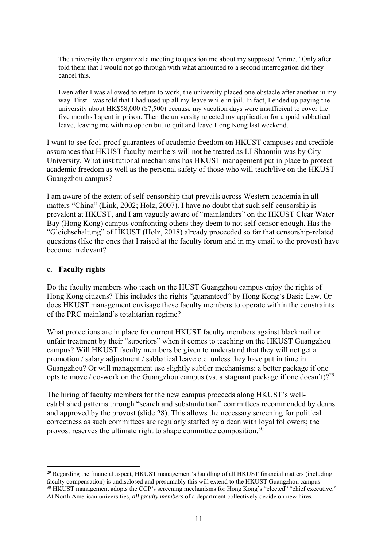The university then organized a meeting to question me about my supposed "crime." Only after I told them that I would not go through with what amounted to a second interrogation did they cancel this.

Even after I was allowed to return to work, the university placed one obstacle after another in my way. First I was told that I had used up all my leave while in jail. In fact, I ended up paying the university about HK\$58,000 (\$7,500) because my vacation days were insufficient to cover the five months I spent in prison. Then the university rejected my application for unpaid sabbatical leave, leaving me with no option but to quit and leave Hong Kong last weekend.

I want to see fool-proof guarantees of academic freedom on HKUST campuses and credible assurances that HKUST faculty members will not be treated as LI Shaomin was by City University. What institutional mechanisms has HKUST management put in place to protect academic freedom as well as the personal safety of those who will teach/live on the HKUST Guangzhou campus?

I am aware of the extent of self-censorship that prevails across Western academia in all matters "China" (Link, 2002; Holz, 2007). I have no doubt that such self-censorship is prevalent at HKUST, and I am vaguely aware of "mainlanders" on the HKUST Clear Water Bay (Hong Kong) campus confronting others they deem to not self-censor enough. Has the "Gleichschaltung" of HKUST (Holz, 2018) already proceeded so far that censorship-related questions (like the ones that I raised at the faculty forum and in my email to the provost) have become irrelevant?

### **c. Faculty rights**

Do the faculty members who teach on the HUST Guangzhou campus enjoy the rights of Hong Kong citizens? This includes the rights "guaranteed" by Hong Kong's Basic Law. Or does HKUST management envisage these faculty members to operate within the constraints of the PRC mainland's totalitarian regime?

What protections are in place for current HKUST faculty members against blackmail or unfair treatment by their "superiors" when it comes to teaching on the HKUST Guangzhou campus? Will HKUST faculty members be given to understand that they will not get a promotion / salary adjustment / sabbatical leave etc. unless they have put in time in Guangzhou? Or will management use slightly subtler mechanisms: a better package if one opts to move / co-work on the Guangzhou campus (vs. a stagnant package if one doesn't)?<sup>29</sup>

The hiring of faculty members for the new campus proceeds along HKUST's wellestablished patterns through "search and substantiation" committees recommended by deans and approved by the provost (slide 28). This allows the necessary screening for political correctness as such committees are regularly staffed by a dean with loyal followers; the provost reserves the ultimate right to shape committee composition.<sup>30</sup>

<sup>1</sup> <sup>29</sup> Regarding the financial aspect, HKUST management's handling of all HKUST financial matters (including faculty compensation) is undisclosed and presumably this will extend to the HKUST Guangzhou campus. <sup>30</sup> HKUST management adopts the CCP's screening mechanisms for Hong Kong's "elected" "chief executive." At North American universities, *all faculty members* of a department collectively decide on new hires.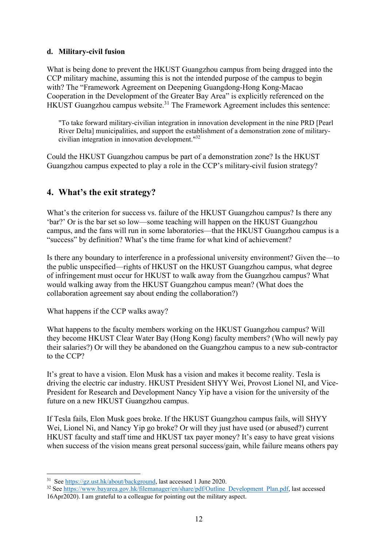### **d. Military-civil fusion**

What is being done to prevent the HKUST Guangzhou campus from being dragged into the CCP military machine, assuming this is not the intended purpose of the campus to begin with? The "Framework Agreement on Deepening Guangdong-Hong Kong-Macao Cooperation in the Development of the Greater Bay Area" is explicitly referenced on the HKUST Guangzhou campus website.<sup>31</sup> The Framework Agreement includes this sentence:

"To take forward military-civilian integration in innovation development in the nine PRD [Pearl River Delta] municipalities, and support the establishment of a demonstration zone of militarycivilian integration in innovation development."32

Could the HKUST Guangzhou campus be part of a demonstration zone? Is the HKUST Guangzhou campus expected to play a role in the CCP's military-civil fusion strategy?

# **4. What's the exit strategy?**

What's the criterion for success vs. failure of the HKUST Guangzhou campus? Is there any 'bar?' Or is the bar set so low—some teaching will happen on the HKUST Guangzhou campus, and the fans will run in some laboratories—that the HKUST Guangzhou campus is a "success" by definition? What's the time frame for what kind of achievement?

Is there any boundary to interference in a professional university environment? Given the—to the public unspecified—rights of HKUST on the HKUST Guangzhou campus, what degree of infringement must occur for HKUST to walk away from the Guangzhou campus? What would walking away from the HKUST Guangzhou campus mean? (What does the collaboration agreement say about ending the collaboration?)

What happens if the CCP walks away?

What happens to the faculty members working on the HKUST Guangzhou campus? Will they become HKUST Clear Water Bay (Hong Kong) faculty members? (Who will newly pay their salaries?) Or will they be abandoned on the Guangzhou campus to a new sub-contractor to the CCP?

It's great to have a vision. Elon Musk has a vision and makes it become reality. Tesla is driving the electric car industry. HKUST President SHYY Wei, Provost Lionel NI, and Vice-President for Research and Development Nancy Yip have a vision for the university of the future on a new HKUST Guangzhou campus.

If Tesla fails, Elon Musk goes broke. If the HKUST Guangzhou campus fails, will SHYY Wei, Lionel Ni, and Nancy Yip go broke? Or will they just have used (or abused?) current HKUST faculty and staff time and HKUST tax payer money? It's easy to have great visions when success of the vision means great personal success/gain, while failure means others pay

<u>.</u>

 $31$  See https://gz.ust.hk/about/background, last accessed 1 June 2020.

<sup>32</sup> See https://www.bayarea.gov.hk/filemanager/en/share/pdf/Outline\_Development\_Plan.pdf, last accessed 16Apr2020). I am grateful to a colleague for pointing out the military aspect.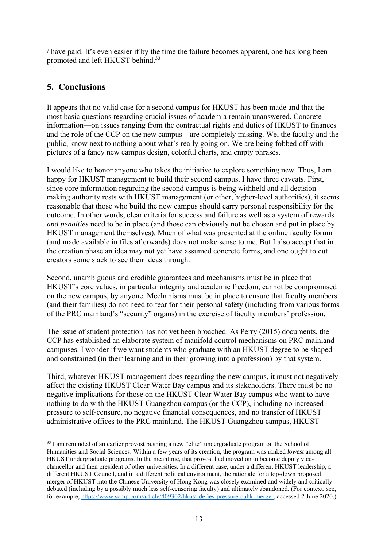/ have paid. It's even easier if by the time the failure becomes apparent, one has long been promoted and left HKUST behind.<sup>33</sup>

# **5. Conclusions**

1

It appears that no valid case for a second campus for HKUST has been made and that the most basic questions regarding crucial issues of academia remain unanswered. Concrete information—on issues ranging from the contractual rights and duties of HKUST to finances and the role of the CCP on the new campus—are completely missing. We, the faculty and the public, know next to nothing about what's really going on. We are being fobbed off with pictures of a fancy new campus design, colorful charts, and empty phrases.

I would like to honor anyone who takes the initiative to explore something new. Thus, I am happy for HKUST management to build their second campus. I have three caveats. First, since core information regarding the second campus is being withheld and all decisionmaking authority rests with HKUST management (or other, higher-level authorities), it seems reasonable that those who build the new campus should carry personal responsibility for the outcome. In other words, clear criteria for success and failure as well as a system of rewards *and penalties* need to be in place (and those can obviously not be chosen and put in place by HKUST management themselves). Much of what was presented at the online faculty forum (and made available in files afterwards) does not make sense to me. But I also accept that in the creation phase an idea may not yet have assumed concrete forms, and one ought to cut creators some slack to see their ideas through.

Second, unambiguous and credible guarantees and mechanisms must be in place that HKUST's core values, in particular integrity and academic freedom, cannot be compromised on the new campus, by anyone. Mechanisms must be in place to ensure that faculty members (and their families) do not need to fear for their personal safety (including from various forms of the PRC mainland's "security" organs) in the exercise of faculty members' profession.

The issue of student protection has not yet been broached. As Perry (2015) documents, the CCP has established an elaborate system of manifold control mechanisms on PRC mainland campuses. I wonder if we want students who graduate with an HKUST degree to be shaped and constrained (in their learning and in their growing into a profession) by that system.

Third, whatever HKUST management does regarding the new campus, it must not negatively affect the existing HKUST Clear Water Bay campus and its stakeholders. There must be no negative implications for those on the HKUST Clear Water Bay campus who want to have nothing to do with the HKUST Guangzhou campus (or the CCP), including no increased pressure to self-censure, no negative financial consequences, and no transfer of HKUST administrative offices to the PRC mainland. The HKUST Guangzhou campus, HKUST

<sup>&</sup>lt;sup>33</sup> I am reminded of an earlier provost pushing a new "elite" undergraduate program on the School of Humanities and Social Sciences. Within a few years of its creation, the program was ranked *lowest* among all HKUST undergraduate programs. In the meantime, that provost had moved on to become deputy vicechancellor and then president of other universities. In a different case, under a different HKUST leadership, a different HKUST Council, and in a different political environment, the rationale for a top-down proposed merger of HKUST into the Chinese University of Hong Kong was closely examined and widely and critically debated (including by a possibly much less self-censoring faculty) and ultimately abandoned. (For context, see, for example, https://www.scmp.com/article/409302/hkust-defies-pressure-cuhk-merger, accessed 2 June 2020.)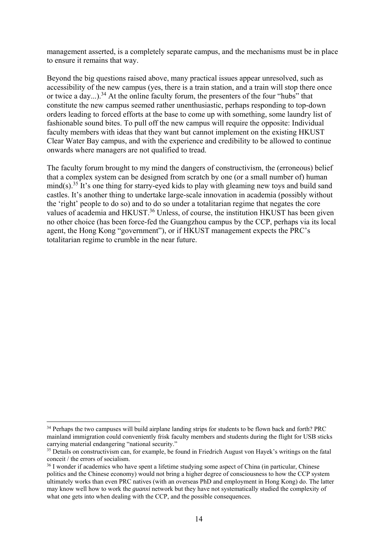management asserted, is a completely separate campus, and the mechanisms must be in place to ensure it remains that way.

Beyond the big questions raised above, many practical issues appear unresolved, such as accessibility of the new campus (yes, there is a train station, and a train will stop there once or twice a day...).<sup>34</sup> At the online faculty forum, the presenters of the four "hubs" that constitute the new campus seemed rather unenthusiastic, perhaps responding to top-down orders leading to forced efforts at the base to come up with something, some laundry list of fashionable sound bites. To pull off the new campus will require the opposite: Individual faculty members with ideas that they want but cannot implement on the existing HKUST Clear Water Bay campus, and with the experience and credibility to be allowed to continue onwards where managers are not qualified to tread.

The faculty forum brought to my mind the dangers of constructivism, the (erroneous) belief that a complex system can be designed from scratch by one (or a small number of) human  $mind(s)$ <sup>35</sup> It's one thing for starry-eyed kids to play with gleaming new toys and build sand castles. It's another thing to undertake large-scale innovation in academia (possibly without the 'right' people to do so) and to do so under a totalitarian regime that negates the core values of academia and HKUST.<sup>36</sup> Unless, of course, the institution HKUST has been given no other choice (has been force-fed the Guangzhou campus by the CCP, perhaps via its local agent, the Hong Kong "government"), or if HKUST management expects the PRC's totalitarian regime to crumble in the near future.

<sup>1</sup> <sup>34</sup> Perhaps the two campuses will build airplane landing strips for students to be flown back and forth? PRC mainland immigration could conveniently frisk faculty members and students during the flight for USB sticks carrying material endangering "national security."

<sup>&</sup>lt;sup>35</sup> Details on constructivism can, for example, be found in Friedrich August von Hayek's writings on the fatal conceit / the errors of socialism.

<sup>&</sup>lt;sup>36</sup> I wonder if academics who have spent a lifetime studying some aspect of China (in particular, Chinese politics and the Chinese economy) would not bring a higher degree of consciousness to how the CCP system ultimately works than even PRC natives (with an overseas PhD and employment in Hong Kong) do. The latter may know well how to work the *guanxi* network but they have not systematically studied the complexity of what one gets into when dealing with the CCP, and the possible consequences.